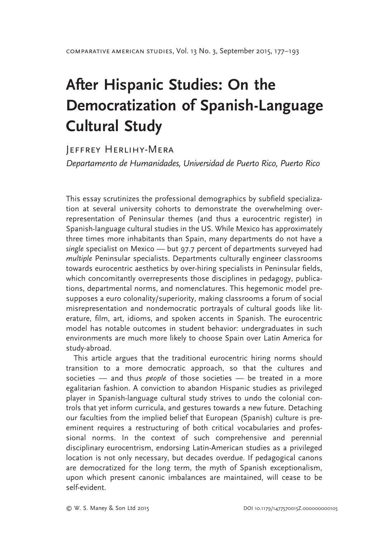# **After Hispanic Studies: On the Democratization of Spanish-Language Cultural Study**

Jeffrey Herlihy-Mera

*Departamento de Humanidades, Universidad de Puerto Rico, Puerto Rico* 

This essay scrutinizes the professional demographics by subfield specialization at several university cohorts to demonstrate the overwhelming overrepresentation of Peninsular themes (and thus a eurocentric register) in Spanish-language cultural studies in the US. While Mexico has approximately three times more inhabitants than Spain, many departments do not have a *single* specialist on Mexico — but 97.7 percent of departments surveyed had *multiple* Peninsular specialists. Departments culturally engineer classrooms towards eurocentric aesthetics by over-hiring specialists in Peninsular fields, which concomitantly overrepresents those disciplines in pedagogy, publications, departmental norms, and nomenclatures. This hegemonic model presupposes a euro colonality/superiority, making classrooms a forum of social misrepresentation and nondemocratic portrayals of cultural goods like literature, film, art, idioms, and spoken accents in Spanish. The eurocentric model has notable outcomes in student behavior: undergraduates in such environments are much more likely to choose Spain over Latin America for study-abroad.

This article argues that the traditional eurocentric hiring norms should transition to a more democratic approach, so that the cultures and societies — and thus *people* of those societies — be treated in a more egalitarian fashion. A conviction to abandon Hispanic studies as privileged player in Spanish-language cultural study strives to undo the colonial controls that yet inform curricula, and gestures towards a new future. Detaching our faculties from the implied belief that European (Spanish) culture is preeminent requires a restructuring of both critical vocabularies and professional norms. In the context of such comprehensive and perennial disciplinary eurocentrism, endorsing Latin-American studies as a privileged location is not only necessary, but decades overdue. If pedagogical canons are democratized for the long term, the myth of Spanish exceptionalism, upon which present canonic imbalances are maintained, will cease to be self-evident.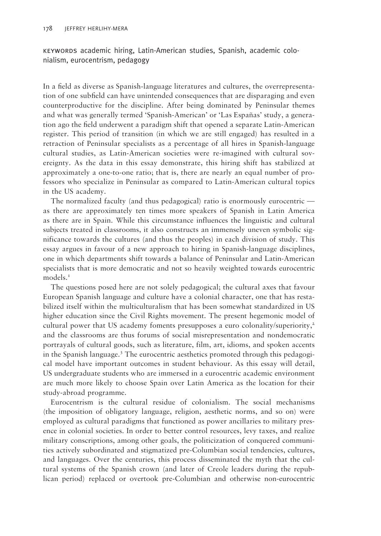keywords academic hiring, Latin-American studies, Spanish, academic colonialism, eurocentrism, pedagogy

In a field as diverse as Spanish-language literatures and cultures, the overrepresentation of one subfield can have unintended consequences that are disparaging and even counterproductive for the discipline. After being dominated by Peninsular themes and what was generally termed 'Spanish-American' or 'Las Españas' study, a generation ago the field underwent a paradigm shift that opened a separate Latin-American register. This period of transition (in which we are still engaged) has resulted in a retraction of Peninsular specialists as a percentage of all hires in Spanish-language cultural studies, as Latin-American societies were re-imagined with cultural sovereignty. As the data in this essay demonstrate, this hiring shift has stabilized at approximately a one-to-one ratio; that is, there are nearly an equal number of professors who specialize in Peninsular as compared to Latin-American cultural topics in the US academy.

The normalized faculty (and thus pedagogical) ratio is enormously eurocentric as there are approximately ten times more speakers of Spanish in Latin America as there are in Spain. While this circumstance influences the linguistic and cultural subjects treated in classrooms, it also constructs an immensely uneven symbolic significance towards the cultures (and thus the peoples) in each division of study. This essay argues in favour of a new approach to hiring in Spanish-language disciplines, one in which departments shift towards a balance of Peninsular and Latin-American specialists that is more democratic and not so heavily weighted towards eurocentric models.<sup>1</sup>

The questions posed here are not solely pedagogical; the cultural axes that favour European Spanish language and culture have a colonial character, one that has restabilized itself within the multiculturalism that has been somewhat standardized in US higher education since the Civil Rights movement. The present hegemonic model of cultural power that US academy foments presupposes a euro colonality/superiority, $2$ and the classrooms are thus forums of social misrepresentation and nondemocratic portrayals of cultural goods, such as literature, film, art, idioms, and spoken accents in the Spanish language.<sup>3</sup> The eurocentric aesthetics promoted through this pedagogical model have important outcomes in student behaviour. As this essay will detail, US undergraduate students who are immersed in a eurocentric academic environment are much more likely to choose Spain over Latin America as the location for their study-abroad programme.

Eurocentrism is the cultural residue of colonialism. The social mechanisms (the imposition of obligatory language, religion, aesthetic norms, and so on) were employed as cultural paradigms that functioned as power ancillaries to military presence in colonial societies. In order to better control resources, levy taxes, and realize military conscriptions, among other goals, the politicization of conquered communities actively subordinated and stigmatized pre-Columbian social tendencies, cultures, and languages. Over the centuries, this process disseminated the myth that the cultural systems of the Spanish crown (and later of Creole leaders during the republican period) replaced or overtook pre-Columbian and otherwise non-eurocentric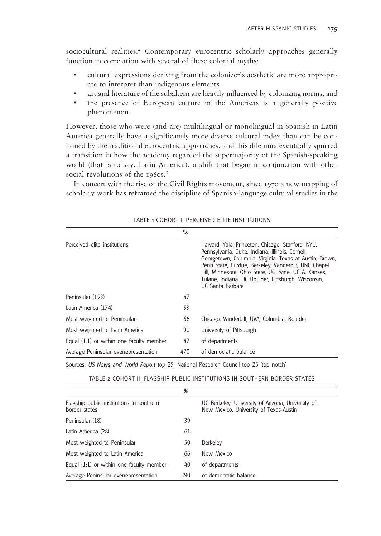sociocultural realities.<sup>4</sup> Contemporary eurocentric scholarly approaches generally function in correlation with several of these colonial myths:

- cultural expressions deriving from the colonizer's aesthetic are more appropriate to interpret than indigenous elements
- art and literature of the subaltern are heavily influenced by colonizing norms, and
- the presence of European culture in the Americas is a generally positive phenomenon.

However, those who were (and are) multilingual or monolingual in Spanish in Latin America generally have a significantly more diverse cultural index than can be contained by the traditional eurocentric approaches, and this dilemma eventually spurred a transition in how the academy regarded the supermajority of the Spanish-speaking world (that is to say, Latin America), a shift that began in conjunction with other social revolutions of the 1960s.<sup>5</sup>

In concert with the rise of the Civil Rights movement, since 1970 a new mapping of scholarly work has reframed the discipline of Spanish-language cultural studies in the

|                                            | %   |                                                                                                                                                                                                                                                                                                                                                                    |
|--------------------------------------------|-----|--------------------------------------------------------------------------------------------------------------------------------------------------------------------------------------------------------------------------------------------------------------------------------------------------------------------------------------------------------------------|
| Perceived elite institutions               |     | Harvard, Yale, Princeton, Chicago, Stanford, NYU,<br>Pennsylvania, Duke, Indiana, Illinois, Cornell,<br>Georgetown, Columbia, Virginia, Texas at Austin, Brown,<br>Penn State, Purdue, Berkeley, Vanderbilt, UNC Chapel<br>Hill, Minnesota, Ohio State, UC Irvine, UCLA, Kansas,<br>Tulane, Indiana, UC Boulder, Pittsburgh, Wisconsin,<br><b>UC Santa Barbara</b> |
| Peninsular (153)                           | 47  |                                                                                                                                                                                                                                                                                                                                                                    |
| Latin America (174)                        | 53  |                                                                                                                                                                                                                                                                                                                                                                    |
| Most weighted to Peninsular                | 66  | Chicago, Vanderbilt, UVA, Columbia, Boulder                                                                                                                                                                                                                                                                                                                        |
| Most weighted to Latin America             | 90  | University of Pittsburgh                                                                                                                                                                                                                                                                                                                                           |
| Equal $(1.1)$ or within one faculty member | 47  | of departments                                                                                                                                                                                                                                                                                                                                                     |
| Average Peninsular overrepresentation      | 470 | of democratic balance                                                                                                                                                                                                                                                                                                                                              |

TABLE 1 COHORT I: PERCEIVED ELITE INSTITUTIONS

Sources: US News and World Report top 25; National Research Council top 25 'top notch'

 $\alpha$ 

TABLE 2 COHORT II: FLAGSHIP PUBLIC INSTITUTIONS IN SOUTHERN BORDER STATES

|                                                           | $\sqrt{2}$ |                                                                                             |
|-----------------------------------------------------------|------------|---------------------------------------------------------------------------------------------|
| Flagship public institutions in southern<br>border states |            | UC Berkeley, University of Arizona, University of<br>New Mexico, University of Texas-Austin |
| Peninsular (18)                                           | 39         |                                                                                             |
| Latin America (28)                                        | 61         |                                                                                             |
| Most weighted to Peninsular                               | 50         | Berkeley                                                                                    |
| Most weighted to Latin America                            | 66         | New Mexico                                                                                  |
| Equal $(1:1)$ or within one faculty member                | 40         | of departments                                                                              |
| Average Peninsular overrepresentation                     | 390        | of democratic balance                                                                       |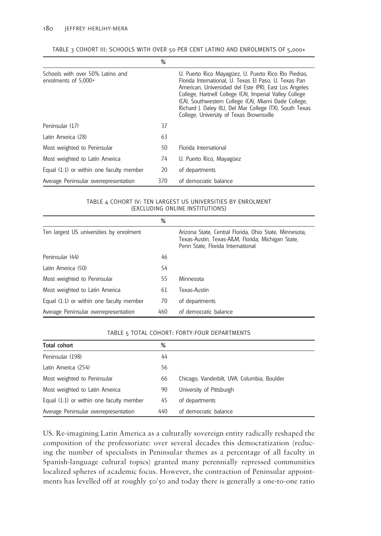|                                                          | %   |                                                                                                                                                                                                                                                                                                                                                                                                   |
|----------------------------------------------------------|-----|---------------------------------------------------------------------------------------------------------------------------------------------------------------------------------------------------------------------------------------------------------------------------------------------------------------------------------------------------------------------------------------------------|
| Schools with over 50% Latino and<br>enrolments of 5,000+ |     | U. Puerto Rico Mayagüez, U. Puerto Rico Río Piedras,<br>Florida International, U. Texas El Paso, U. Texas Pan<br>American, Universidad del Este (PR), East Los Angeles<br>College, Hartnell College (CA), Imperial Valley College<br>(CA), Southwestern College (CA), Miami Dade College,<br>Richard J. Daley (IL), Del Mar College (TX), South Texas<br>College, University of Texas Brownsville |
| Peninsular (17)                                          | 37  |                                                                                                                                                                                                                                                                                                                                                                                                   |
| Latin America (28)                                       | 63  |                                                                                                                                                                                                                                                                                                                                                                                                   |
| Most weighted to Peninsular                              | 50  | Florida International                                                                                                                                                                                                                                                                                                                                                                             |
| Most weighted to Latin America                           | 74  | U. Puerto Rico, Mayagüez                                                                                                                                                                                                                                                                                                                                                                          |
| Equal $(1:1)$ or within one faculty member               | 20  | of departments                                                                                                                                                                                                                                                                                                                                                                                    |
| Average Peninsular overrepresentation                    | 370 | of democratic balance                                                                                                                                                                                                                                                                                                                                                                             |

TABLE 3 COHORT III: SCHOOLS WITH OVER 50 PER CENT LATINO AND ENROLMENTS OF 5,000+

#### TABLE 4 COHORT IV: TEN LARGEST US UNIVERSITIES BY ENROLMENT (EXCLUDING ONLINE INSTITUTIONS)

|                                            | %   |                                                                                                                                                  |
|--------------------------------------------|-----|--------------------------------------------------------------------------------------------------------------------------------------------------|
| Ten largest US universities by enrolment   |     | Arizona State, Central Florida, Ohio State, Minnesota,<br>Texas-Austin, Texas-A&M, Florida, Michigan State,<br>Penn State, Florida International |
| Peninsular (44)                            | 46  |                                                                                                                                                  |
| Latin America (50)                         | 54  |                                                                                                                                                  |
| Most weighted to Peninsular                | 55  | Minnesota                                                                                                                                        |
| Most weighted to Latin America             | 61  | Texas-Austin                                                                                                                                     |
| Equal $(1:1)$ or within one faculty member | 70  | of departments                                                                                                                                   |
| Average Peninsular overrepresentation      | 460 | of democratic balance                                                                                                                            |

#### TABLE 5 TOTAL COHORT: FORTY-FOUR DEPARTMENTS

| <b>Total cohort</b>                        | %   |                                             |
|--------------------------------------------|-----|---------------------------------------------|
| Peninsular (198)                           | 44  |                                             |
| Latin America (254)                        | 56  |                                             |
| Most weighted to Peninsular                | 66  | Chicago, Vanderbilt, UVA, Columbia, Boulder |
| Most weighted to Latin America             | 90  | University of Pittsburgh                    |
| Equal $(1:1)$ or within one faculty member | 45  | of departments                              |
| Average Peninsular overrepresentation      | 440 | of democratic balance                       |

US. Re-imagining Latin America as a culturally sovereign entity radically reshaped the composition of the professoriate: over several decades this democratization (reducing the number of specialists in Peninsular themes as a percentage of all faculty in Spanish-language cultural topics) granted many perennially repressed communities localized spheres of academic focus. However, the contraction of Peninsular appointments has levelled off at roughly 50/50 and today there is generally a one-to-one ratio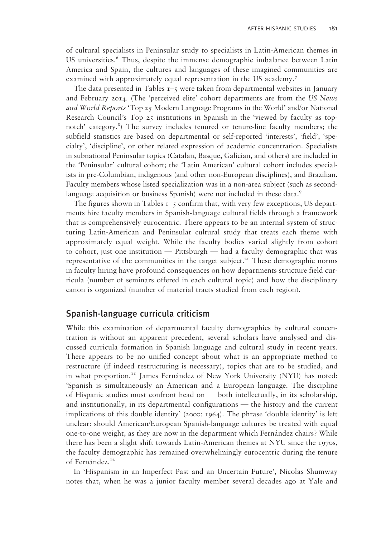of cultural specialists in Peninsular study to specialists in Latin-American themes in US universities.<sup>6</sup> Thus, despite the immense demographic imbalance between Latin America and Spain, the cultures and languages of these imagined communities are examined with approximately equal representation in the US academy.<sup>7</sup>

The data presented in Tables  $I$ –5 were taken from departmental websites in January and February 2014. (The 'perceived elite' cohort departments are from the *US News and World Reports* 'Top 25 Modern Language Programs in the World' and/or National Research Council's Top 25 institutions in Spanish in the 'viewed by faculty as topnotch' category.8 ) The survey includes tenured or tenure-line faculty members; the subfield statistics are based on departmental or self-reported 'interests', 'field', 'specialty', 'discipline', or other related expression of academic concentration. Specialists in subnational Peninsular topics (Catalan, Basque, Galician, and others) are included in the 'Peninsular' cultural cohort; the 'Latin American' cultural cohort includes specialists in pre-Columbian, indigenous (and other non-European disciplines), and Brazilian. Faculty members whose listed specialization was in a non-area subject (such as secondlanguage acquisition or business Spanish) were not included in these data.<sup>9</sup>

The figures shown in Tables  $1-\xi$  confirm that, with very few exceptions, US departments hire faculty members in Spanish-language cultural fields through a framework that is comprehensively eurocentric. There appears to be an internal system of structuring Latin-American and Peninsular cultural study that treats each theme with approximately equal weight. While the faculty bodies varied slightly from cohort to cohort, just one institution — Pittsburgh — had a faculty demographic that was representative of the communities in the target subject.<sup>20</sup> These demographic norms in faculty hiring have profound consequences on how departments structure field curricula (number of seminars offered in each cultural topic) and how the disciplinary canon is organized (number of material tracts studied from each region).

# Spanish-language curricula criticism

While this examination of departmental faculty demographics by cultural concentration is without an apparent precedent, several scholars have analysed and discussed curricula formation in Spanish language and cultural study in recent years. There appears to be no unified concept about what is an appropriate method to restructure (if indeed restructuring is necessary), topics that are to be studied, and in what proportion.<sup>11</sup> James Fernández of New York University (NYU) has noted: 'Spanish is simultaneously an American and a European language. The discipline of Hispanic studies must confront head on — both intellectually, in its scholarship, and institutionally, in its departmental configurations — the history and the current implications of this double identity' (2000: 1964). The phrase 'double identity' is left unclear: should American/European Spanish-language cultures be treated with equal one-to-one weight, as they are now in the department which Fernández chairs? While there has been a slight shift towards Latin-American themes at NYU since the 1970s, the faculty demographic has remained overwhelmingly eurocentric during the tenure of Fernández.<sup>12</sup>

In 'Hispanism in an Imperfect Past and an Uncertain Future', Nicolas Shumway notes that, when he was a junior faculty member several decades ago at Yale and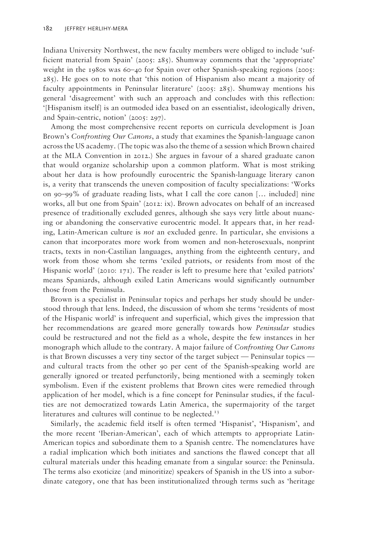Indiana University Northwest, the new faculty members were obliged to include 'sufficient material from Spain' (2005: 285). Shumway comments that the 'appropriate' weight in the 1980s was 60–40 for Spain over other Spanish-speaking regions (2005: 285). He goes on to note that 'this notion of Hispanism also meant a majority of faculty appointments in Peninsular literature' (2005: 285). Shumway mentions his general 'disagreement' with such an approach and concludes with this reflection: '[Hispanism itself] is an outmoded idea based on an essentialist, ideologically driven, and Spain-centric, notion' (2005: 297).

Among the most comprehensive recent reports on curricula development is Joan Brown's *Confronting Our Canons*, a study that examines the Spanish-language canon across the US academy. (The topic was also the theme of a session which Brown chaired at the MLA Convention in 2012.) She argues in favour of a shared graduate canon that would organize scholarship upon a common platform. What is most striking about her data is how profoundly eurocentric the Spanish-language literary canon is, a verity that transcends the uneven composition of faculty specializations: 'Works on 90–99% of graduate reading lists, what I call the core canon [… included] nine works, all but one from Spain' (2012: ix). Brown advocates on behalf of an increased presence of traditionally excluded genres, although she says very little about nuancing or abandoning the conservative eurocentric model. It appears that, in her reading, Latin-American culture is *not* an excluded genre. In particular, she envisions a canon that incorporates more work from women and non-heterosexuals, nonprint tracts, texts in non-Castilian languages, anything from the eighteenth century, and work from those whom she terms 'exiled patriots, or residents from most of the Hispanic world' (2010:  $171$ ). The reader is left to presume here that 'exiled patriots' means Spaniards, although exiled Latin Americans would significantly outnumber those from the Peninsula.

Brown is a specialist in Peninsular topics and perhaps her study should be understood through that lens. Indeed, the discussion of whom she terms 'residents of most of the Hispanic world' is infrequent and superficial, which gives the impression that her recommendations are geared more generally towards how *Peninsular* studies could be restructured and not the field as a whole, despite the few instances in her monograph which allude to the contrary. A major failure of *Confronting Our Canons* is that Brown discusses a very tiny sector of the target subject — Peninsular topics and cultural tracts from the other 90 per cent of the Spanish-speaking world are generally ignored or treated perfunctorily, being mentioned with a seemingly token symbolism. Even if the existent problems that Brown cites were remedied through application of her model, which is a fine concept for Peninsular studies, if the faculties are not democratized towards Latin America, the supermajority of the target literatures and cultures will continue to be neglected.<sup>13</sup>

Similarly, the academic field itself is often termed 'Hispanist', 'Hispanism', and the more recent 'Iberian-American', each of which attempts to appropriate Latin-American topics and subordinate them to a Spanish centre. The nomenclatures have a radial implication which both initiates and sanctions the flawed concept that all cultural materials under this heading emanate from a singular source: the Peninsula. The terms also exoticize (and minoritize) speakers of Spanish in the US into a subordinate category, one that has been institutionalized through terms such as 'heritage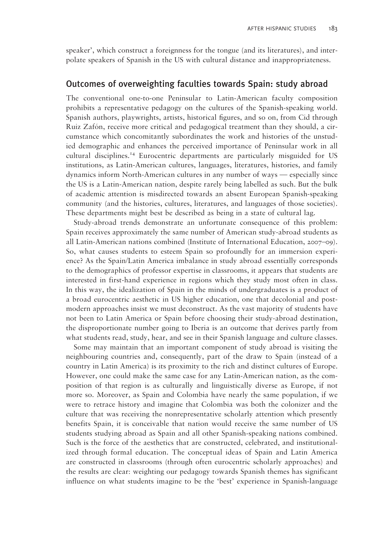speaker', which construct a foreignness for the tongue (and its literatures), and interpolate speakers of Spanish in the US with cultural distance and inappropriateness.

### Outcomes of overweighting faculties towards Spain: study abroad

The conventional one-to-one Peninsular to Latin-American faculty composition prohibits a representative pedagogy on the cultures of the Spanish-speaking world. Spanish authors, playwrights, artists, historical figures, and so on, from Cid through Ruiz Zafón, receive more critical and pedagogical treatment than they should, a circumstance which concomitantly subordinates the work and histories of the unstudied demographic and enhances the perceived importance of Peninsular work in all cultural disciplines.14 Eurocentric departments are particularly misguided for US institutions, as Latin-American cultures, languages, literatures, histories, and family dynamics inform North-American cultures in any number of ways — especially since the US is a Latin-American nation, despite rarely being labelled as such. But the bulk of academic attention is misdirected towards an absent European Spanish-speaking community (and the histories, cultures, literatures, and languages of those societies). These departments might best be described as being in a state of cultural lag.

Study-abroad trends demonstrate an unfortunate consequence of this problem: Spain receives approximately the same number of American study-abroad students as all Latin-American nations combined (Institute of International Education, 2007–09). So, what causes students to esteem Spain so profoundly for an immersion experience? As the Spain/Latin America imbalance in study abroad essentially corresponds to the demographics of professor expertise in classrooms, it appears that students are interested in first-hand experience in regions which they study most often in class. In this way, the idealization of Spain in the minds of undergraduates is a product of a broad eurocentric aesthetic in US higher education, one that decolonial and postmodern approaches insist we must deconstruct. As the vast majority of students have not been to Latin America or Spain before choosing their study-abroad destination, the disproportionate number going to Iberia is an outcome that derives partly from what students read, study, hear, and see in their Spanish language and culture classes.

Some may maintain that an important component of study abroad is visiting the neighbouring countries and, consequently, part of the draw to Spain (instead of a country in Latin America) is its proximity to the rich and distinct cultures of Europe. However, one could make the same case for any Latin-American nation, as the composition of that region is as culturally and linguistically diverse as Europe, if not more so. Moreover, as Spain and Colombia have nearly the same population, if we were to retrace history and imagine that Colombia was both the colonizer and the culture that was receiving the nonrepresentative scholarly attention which presently benefits Spain, it is conceivable that nation would receive the same number of US students studying abroad as Spain and all other Spanish-speaking nations combined. Such is the force of the aesthetics that are constructed, celebrated, and institutionalized through formal education. The conceptual ideas of Spain and Latin America are constructed in classrooms (through often eurocentric scholarly approaches) and the results are clear: weighting our pedagogy towards Spanish themes has significant influence on what students imagine to be the 'best' experience in Spanish-language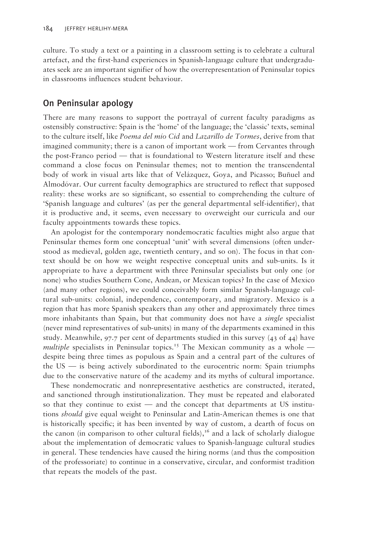culture. To study a text or a painting in a classroom setting is to celebrate a cultural artefact, and the first-hand experiences in Spanish-language culture that undergraduates seek are an important signifier of how the overrepresentation of Peninsular topics in classrooms influences student behaviour.

# On Peninsular apology

There are many reasons to support the portrayal of current faculty paradigms as ostensibly constructive: Spain is the 'home' of the language; the 'classic' texts, seminal to the culture itself, like *Poema del mío Cid* and *Lazarillo de Tormes*, derive from that imagined community; there is a canon of important work — from Cervantes through the post-Franco period — that is foundational to Western literature itself and these command a close focus on Peninsular themes; not to mention the transcendental body of work in visual arts like that of Velázquez, Goya, and Picasso; Buñuel and Almodóvar. Our current faculty demographics are structured to reflect that supposed reality: these works are so significant, so essential to comprehending the culture of 'Spanish language and cultures' (as per the general departmental self-identifier), that it is productive and, it seems, even necessary to overweight our curricula and our faculty appointments towards these topics.

An apologist for the contemporary nondemocratic faculties might also argue that Peninsular themes form one conceptual 'unit' with several dimensions (often understood as medieval, golden age, twentieth century, and so on). The focus in that context should be on how we weight respective conceptual units and sub-units. Is it appropriate to have a department with three Peninsular specialists but only one (or none) who studies Southern Cone, Andean, or Mexican topics? In the case of Mexico (and many other regions), we could conceivably form similar Spanish-language cultural sub-units: colonial, independence, contemporary, and migratory. Mexico is a region that has more Spanish speakers than any other and approximately three times more inhabitants than Spain, but that community does not have a *single* specialist (never mind representatives of sub-units) in many of the departments examined in this study. Meanwhile, 97.7 per cent of departments studied in this survey (43 of 44) have *multiple* specialists in Peninsular topics.<sup>15</sup> The Mexican community as a whole despite being three times as populous as Spain and a central part of the cultures of the US — is being actively subordinated to the eurocentric norm: Spain triumphs due to the conservative nature of the academy and its myths of cultural importance.

These nondemocratic and nonrepresentative aesthetics are constructed, iterated, and sanctioned through institutionalization. They must be repeated and elaborated so that they continue to exist — and the concept that departments at US institutions *should* give equal weight to Peninsular and Latin-American themes is one that is historically specific; it has been invented by way of custom, a dearth of focus on the canon (in comparison to other cultural fields),<sup>16</sup> and a lack of scholarly dialogue about the implementation of democratic values to Spanish-language cultural studies in general. These tendencies have caused the hiring norms (and thus the composition of the professoriate) to continue in a conservative, circular, and conformist tradition that repeats the models of the past.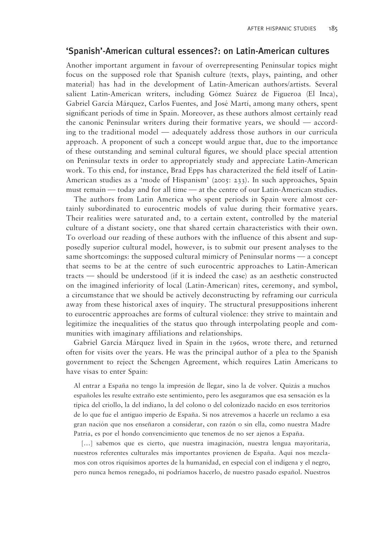# 'Spanish'-American cultural essences?: on Latin-American cultures

Another important argument in favour of overrepresenting Peninsular topics might focus on the supposed role that Spanish culture (texts, plays, painting, and other material) has had in the development of Latin-American authors/artists. Several salient Latin-American writers, including Gómez Suárez de Figueroa (El Inca), Gabriel García Márquez, Carlos Fuentes, and José Martí, among many others, spent significant periods of time in Spain. Moreover, as these authors almost certainly read the canonic Peninsular writers during their formative years, we should — according to the traditional model — adequately address those authors in our curricula approach. A proponent of such a concept would argue that, due to the importance of these outstanding and seminal cultural figures, we should place special attention on Peninsular texts in order to appropriately study and appreciate Latin-American work. To this end, for instance, Brad Epps has characterized the field itself of Latin-American studies as a 'mode of Hispanism' (2005: 233). In such approaches, Spain must remain — today and for all time — at the centre of our Latin-American studies.

The authors from Latin America who spent periods in Spain were almost certainly subordinated to eurocentric models of value during their formative years. Their realities were saturated and, to a certain extent, controlled by the material culture of a distant society, one that shared certain characteristics with their own. To overload our reading of these authors with the influence of this absent and supposedly superior cultural model, however, is to submit our present analyses to the same shortcomings: the supposed cultural mimicry of Peninsular norms — a concept that seems to be at the centre of such eurocentric approaches to Latin-American tracts — should be understood (if it is indeed the case) as an aesthetic constructed on the imagined inferiority of local (Latin-American) rites, ceremony, and symbol, a circumstance that we should be actively deconstructing by reframing our curricula away from these historical axes of inquiry. The structural presuppositions inherent to eurocentric approaches are forms of cultural violence: they strive to maintain and legitimize the inequalities of the status quo through interpolating people and communities with imaginary affiliations and relationships.

Gabriel García Márquez lived in Spain in the 1960s, wrote there, and returned often for visits over the years. He was the principal author of a plea to the Spanish government to reject the Schengen Agreement, which requires Latin Americans to have visas to enter Spain:

Al entrar a España no tengo la impresión de llegar, sino la de volver. Quizás a muchos españoles les resulte extraño este sentimiento, pero les aseguramos que esa sensación es la típica del criollo, la del indiano, la del colono o del colonizado nacido en esos territorios de lo que fue el antiguo imperio de España. Si nos atrevemos a hacerle un reclamo a esa gran nación que nos enseñaron a considerar, con razón o sin ella, como nuestra Madre Patria, es por el hondo convencimiento que tenemos de no ser ajenos a España.

[...] sabemos que es cierto, que nuestra imaginación, nuestra lengua mayoritaria, nuestros referentes culturales más importantes provienen de España. Aquí nos mezclamos con otros riquísimos aportes de la humanidad, en especial con el indígena y el negro, pero nunca hemos renegado, ni podríamos hacerlo, de nuestro pasado español. Nuestros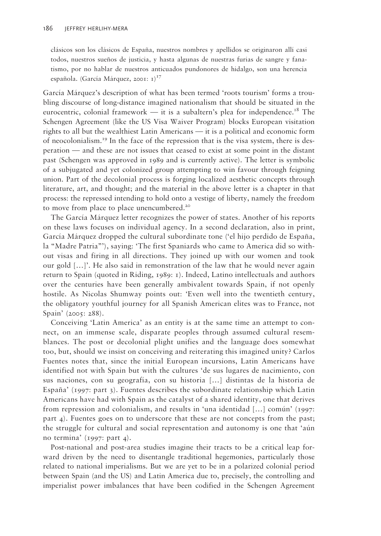clásicos son los clásicos de España, nuestros nombres y apellidos se originaron allí casi todos, nuestros sueños de justicia, y hasta algunas de nuestras furias de sangre y fanatismo, por no hablar de nuestros anticuados pundonores de hidalgo, son una herencia española. (García Márquez, 2001: 1)<sup>17</sup>

García Márquez's description of what has been termed 'roots tourism' forms a troubling discourse of long-distance imagined nationalism that should be situated in the eurocentric, colonial framework — it is a subaltern's plea for independence.<sup>18</sup> The Schengen Agreement (like the US Visa Waiver Program) blocks European visitation rights to all but the wealthiest Latin Americans — it is a political and economic form of neocolonialism.19 In the face of the repression that is the visa system, there is desperation — and these are not issues that ceased to exist at some point in the distant past (Schengen was approved in 1989 and is currently active). The letter is symbolic of a subjugated and yet colonized group attempting to win favour through feigning union. Part of the decolonial process is forging localized aesthetic concepts through literature, art, and thought; and the material in the above letter is a chapter in that process: the repressed intending to hold onto a vestige of liberty, namely the freedom to move from place to place unencumbered.<sup>20</sup>

The García Márquez letter recognizes the power of states. Another of his reports on these laws focuses on individual agency. In a second declaration, also in print, García Márquez dropped the cultural subordinate tone ('el hijo perdido de España, la "Madre Patria"'), saying: 'The first Spaniards who came to America did so without visas and firing in all directions. They joined up with our women and took our gold […]'. He also said in remonstration of the law that he would never again return to Spain (quoted in Riding, 1989: 1). Indeed, Latino intellectuals and authors over the centuries have been generally ambivalent towards Spain, if not openly hostile. As Nicolas Shumway points out: 'Even well into the twentieth century, the obligatory youthful journey for all Spanish American elites was to France, not Spain' (2005: 288).

Conceiving 'Latin America' as an entity is at the same time an attempt to connect, on an immense scale, disparate peoples through assumed cultural resemblances. The post or decolonial plight unifies and the language does somewhat too, but, should we insist on conceiving and reiterating this imagined unity? Carlos Fuentes notes that, since the initial European incursions, Latin Americans have identified not with Spain but with the cultures 'de sus lugares de nacimiento, con sus naciones, con su geografía, con su historia […] distintas de la historia de España' (1997: part 3). Fuentes describes the subordinate relationship which Latin Americans have had with Spain as the catalyst of a shared identity, one that derives from repression and colonialism, and results in 'una identidad […] común' (1997: part 4). Fuentes goes on to underscore that these are not concepts from the past; the struggle for cultural and social representation and autonomy is one that 'aún no termina' (1997: part 4).

Post-national and post-area studies imagine their tracts to be a critical leap forward driven by the need to disentangle traditional hegemonies, particularly those related to national imperialisms. But we are yet to be in a polarized colonial period between Spain (and the US) and Latin America due to, precisely, the controlling and imperialist power imbalances that have been codified in the Schengen Agreement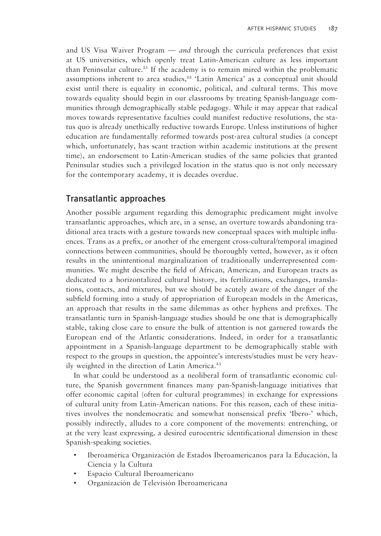and US Visa Waiver Program — *and* through the curricula preferences that exist at US universities, which openly treat Latin-American culture as less important than Peninsular culture.<sup>21</sup> If the academy is to remain mired within the problematic assumptions inherent to area studies, $22 \text{ 'Latin America' as a conceptual unit should}$ exist until there is equality in economic, political, and cultural terms. This move towards equality should begin in our classrooms by treating Spanish-language communities through demographically stable pedagogy. While it may appear that radical moves towards representative faculties could manifest reductive resolutions, the status quo is already unethically reductive towards Europe. Unless institutions of higher education are fundamentally reformed towards post-area cultural studies (a concept which, unfortunately, has scant traction within academic institutions at the present time), an endorsement to Latin-American studies of the same policies that granted Peninsular studies such a privileged location in the status quo is not only necessary for the contemporary academy, it is decades overdue.

# Transatlantic approaches

Another possible argument regarding this demographic predicament might involve transatlantic approaches, which are, in a sense, an overture towards abandoning traditional area tracts with a gesture towards new conceptual spaces with multiple influences. Trans as a prefix, or another of the emergent cross-cultural/temporal imagined connections between communities, should be thoroughly vetted, however, as it often results in the unintentional marginalization of traditionally underrepresented communities. We might describe the field of African, American, and European tracts as dedicated to a horizontalized cultural history, its fertilizations, exchanges, translations, contacts, and mixtures, but we should be acutely aware of the danger of the subfield forming into a study of appropriation of European models in the Americas, an approach that results in the same dilemmas as other hyphens and prefixes. The transatlantic turn in Spanish-language studies should be one that is demographically stable, taking close care to ensure the bulk of attention is not garnered towards the European end of the Atlantic considerations. Indeed, in order for a transatlantic appointment in a Spanish-language department to be demographically stable with respect to the groups in question, the appointee's interests/studies must be very heavily weighted in the direction of Latin America.<sup>23</sup>

In what could be understood as a neoliberal form of transatlantic economic culture, the Spanish government finances many pan-Spanish-language initiatives that offer economic capital (often for cultural programmes) in exchange for expressions of cultural unity from Latin-American nations. For this reason, each of these initiatives involves the nondemocratic and somewhat nonsensical prefix 'Ibero-' which, possibly indirectly, alludes to a core component of the movements: entrenching, or at the very least expressing, a desired eurocentric identificational dimension in these Spanish-speaking societies.

- • Iberoamérica Organización de Estados Iberoamericanos para la Educación, la Ciencia y la Cultura
- Espacio Cultural Iberoamericano
- • Organización de Televisión Iberoamericana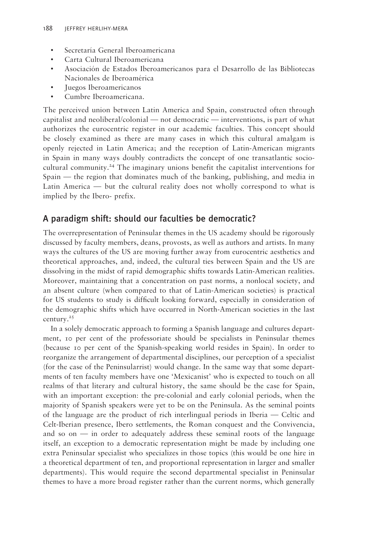- Secretaría General Iberoamericana
- • Carta Cultural Iberoamericana
- • Asociación de Estados Iberoamericanos para el Desarrollo de las Bibliotecas Nacionales de Iberoamérica
- Juegos Iberoamericanos
- • Cumbre Iberoamericana.

The perceived union between Latin America and Spain, constructed often through capitalist and neoliberal/colonial — not democratic — interventions, is part of what authorizes the eurocentric register in our academic faculties. This concept should be closely examined as there are many cases in which this cultural amalgam is openly rejected in Latin America; and the reception of Latin-American migrants in Spain in many ways doubly contradicts the concept of one transatlantic sociocultural community.24 The imaginary unions benefit the capitalist interventions for Spain — the region that dominates much of the banking, publishing, and media in Latin America — but the cultural reality does not wholly correspond to what is implied by the Ibero- prefix.

# A paradigm shift: should our faculties be democratic?

The overrepresentation of Peninsular themes in the US academy should be rigorously discussed by faculty members, deans, provosts, as well as authors and artists. In many ways the cultures of the US are moving further away from eurocentric aesthetics and theoretical approaches, and, indeed, the cultural ties between Spain and the US are dissolving in the midst of rapid demographic shifts towards Latin-American realities. Moreover, maintaining that a concentration on past norms, a nonlocal society, and an absent culture (when compared to that of Latin-American societies) is practical for US students to study is difficult looking forward, especially in consideration of the demographic shifts which have occurred in North-American societies in the last century.<sup>25</sup>

In a solely democratic approach to forming a Spanish language and cultures department, 10 per cent of the professoriate should be specialists in Peninsular themes (because 10 per cent of the Spanish-speaking world resides in Spain). In order to reorganize the arrangement of departmental disciplines, our perception of a specialist (for the case of the Peninsularrist) would change. In the same way that some departments of ten faculty members have one 'Mexicanist' who is expected to touch on all realms of that literary and cultural history, the same should be the case for Spain, with an important exception: the pre-colonial and early colonial periods, when the majority of Spanish speakers were yet to be on the Peninsula. As the seminal points of the language are the product of rich interlingual periods in Iberia — Celtic and Celt-Iberian presence, Ibero settlements, the Roman conquest and the Convivencia, and so on  $-$  in order to adequately address these seminal roots of the language itself, an exception to a democratic representation might be made by including one extra Peninsular specialist who specializes in those topics (this would be one hire in a theoretical department of ten, and proportional representation in larger and smaller departments). This would require the second departmental specialist in Peninsular themes to have a more broad register rather than the current norms, which generally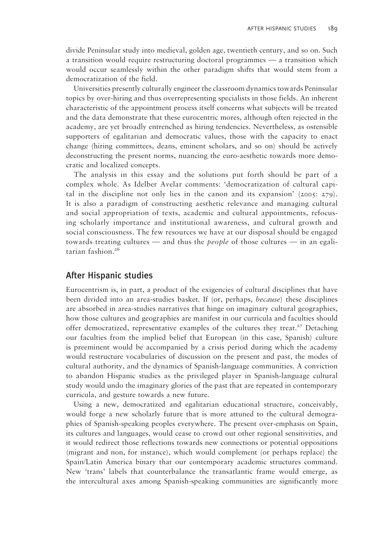divide Peninsular study into medieval, golden age, twentieth century, and so on. Such a transition would require restructuring doctoral programmes — a transition which would occur seamlessly within the other paradigm shifts that would stem from a democratization of the field.

Universities presently culturally engineer the classroom dynamics towards Peninsular topics by over-hiring and thus overrepresenting specialists in those fields. An inherent characteristic of the appointment process itself concerns what subjects will be treated and the data demonstrate that these eurocentric mores, although often rejected in the academy, are yet broadly entrenched as hiring tendencies. Nevertheless, as ostensible supporters of egalitarian and democratic values, those with the capacity to enact change (hiring committees, deans, eminent scholars, and so on) should be actively deconstructing the present norms, nuancing the euro-aesthetic towards more democratic and localized concepts.

The analysis in this essay and the solutions put forth should be part of a complex whole. As Idelber Avelar comments: 'democratization of cultural capital in the discipline not only lies in the canon and its expansion' ( $2005: 279$ ). It is also a paradigm of constructing aesthetic relevance and managing cultural and social appropriation of texts, academic and cultural appointments, refocusing scholarly importance and institutional awareness, and cultural growth and social consciousness. The few resources we have at our disposal should be engaged towards treating cultures — and thus the *people* of those cultures — in an egalitarian fashion.<sup>26</sup>

# After Hispanic studies

Eurocentrism is, in part, a product of the exigencies of cultural disciplines that have been divided into an area-studies basket. If (or, perhaps, *because*) these disciplines are absorbed in area-studies narratives that hinge on imaginary cultural geographies, how those cultures and geographies are manifest in our curricula and faculties should offer democratized, representative examples of the cultures they treat.<sup>27</sup> Detaching our faculties from the implied belief that European (in this case, Spanish) culture is preeminent would be accompanied by a crisis period during which the academy would restructure vocabularies of discussion on the present and past, the modes of cultural authority, and the dynamics of Spanish-language communities. A conviction to abandon Hispanic studies as the privileged player in Spanish-language cultural study would undo the imaginary glories of the past that are repeated in contemporary curricula, and gesture towards a new future.

Using a new, democratized and egalitarian educational structure, conceivably, would forge a new scholarly future that is more attuned to the cultural demographies of Spanish-speaking peoples everywhere. The present over-emphasis on Spain, its cultures and languages, would cease to crowd out other regional sensitivities, and it would redirect those reflections towards new connections or potential oppositions (migrant and non, for instance), which would complement (or perhaps replace) the Spain/Latin America binary that our contemporary academic structures command. New 'trans' labels that counterbalance the transatlantic frame would emerge, as the intercultural axes among Spanish-speaking communities are significantly more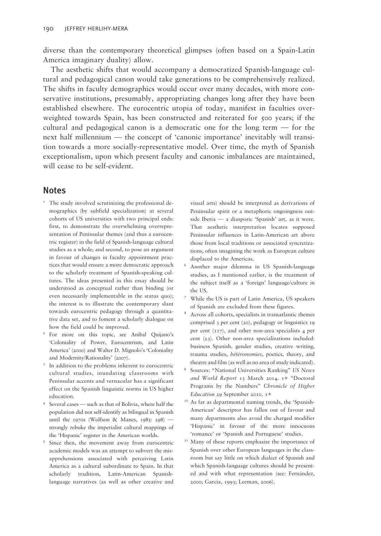diverse than the contemporary theoretical glimpses (often based on a Spain-Latin America imaginary duality) allow.

The aesthetic shifts that would accompany a democratized Spanish-language cultural and pedagogical canon would take generations to be comprehensively realized. The shifts in faculty demographics would occur over many decades, with more conservative institutions, presumably, appropriating changes long after they have been established elsewhere. The eurocentric utopia of today, manifest in faculties overweighted towards Spain, has been constructed and reiterated for 500 years; if the cultural and pedagogical canon is a democratic one for the long term — for the next half millennium — the concept of 'canonic importance' inevitably will transition towards a more socially-representative model. Over time, the myth of Spanish exceptionalism, upon which present faculty and canonic imbalances are maintained, will cease to be self-evident.

#### Notes

- $<sup>T</sup>$  The study involved scrutinizing the professional de-</sup> mographics (by subfield specialization) at several cohorts of US universities with two principal ends: first, to demonstrate the overwhelming overrepresentation of Peninsular themes (and thus a eurocentric register) in the field of Spanish-language cultural studies as a whole; and second, to pose an argument in favour of changes in faculty appointment practices that would ensure a more democratic approach to the scholarly treatment of Spanish-speaking cultures. The ideas presented in this essay should be understood as conceptual rather than binding (or even necessarily implementable in the status quo); the interest is to illustrate the contemporary slant towards eurocentric pedagogy through a quantitative data set, and to foment a scholarly dialogue on how the field could be improved.
- <sup>2</sup> For more on this topic, see Anibal Quijano's 'Coloniality of Power, Eurocentrism, and Latin America' (2000) and Walter D. Mignolo's 'Coloniality and Modernity/Rationality' (2007).
- <sup>3</sup> In addition to the problems inherent to eurocentric cultural studies, inundating classrooms with Peninsular accents and vernacular has a significant effect on the Spanish linguistic norms in US higher education.
- <sup>4</sup> Several cases such as that of Bolivia, where half the population did not self-identify as bilingual in Spanish until the 1970s (Wolfson & Manes, 1985: 298) strongly rebuke the imperialist cultural mappings of the 'Hispanic' register in the American worlds.
- Since then, the movement away from eurocentric academic models was an attempt to subvert the misapprehensions associated with perceiving Latin America as a cultural subordinate to Spain. In that scholarly tradition, Latin-American Spanishlanguage narratives (as well as other creative and

visual arts) should be interpreted as derivations of Peninsular spirit or a metaphoric ongoingness outside Iberia — a diasporic 'Spanish' art, as it were. That aesthetic interpretation locates supposed Peninsular influences in Latin-American art above those from local traditions or associated syncretizations, often imagining the work as European culture displaced to the Americas.

- <sup>6</sup> Another major dilemma in US Spanish-language studies, as I mentioned earlier, is the treatment of the subject itself as a 'foreign' language/culture in the US.
- <sup>7</sup> While the US is part of Latin America, US speakers of Spanish are excluded from these figures.
- Across all cohorts, specialists in transatlantic themes comprised 3 per cent (20), pedagogy or linguistics 19 per cent (117), and other non-area specialists 4 per cent (23). Other non-area specializations included: business Spanish, gender studies, creative writing, trauma studies, *hétéronomies*, poetics, theory, and theatre and film (as well as no area of study indicated).
- <sup>9</sup> Sources: "National Universities Ranking" *US News and World Report* 13 March 2014. 1+ "Doctoral Programs by the Numbers" *Chronicle of Higher Education* 29 September 2010. 1+<br><sup>10</sup> As far as departmental naming trends, the 'Spanish-
- American' descriptor has fallen out of favour and many departments also avoid the charged modifier 'Hispanic' in favour of the more innocuous 'romance' or 'Spanish and Portuguese' studies.
- <sup>11</sup> Many of these reports emphasize the importance of Spanish over other European languages in the classroom but say little on which dialect of Spanish and which Spanish-language cultures should be presented and with what representation (see: Fernández, 2000; García, 1993; Leeman, 2006).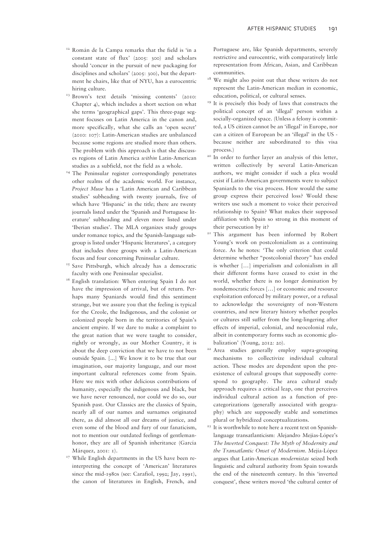- <sup>12</sup> Román de la Campa remarks that the field is 'in a constant state of flux' (2005: 300) and scholars should 'concur in the pursuit of new packaging for disciplines and scholars' (2005: 300), but the department he chairs, like that of NYU, has a eurocentric hiring culture.
- <sup>13</sup> Brown's text details 'missing contents' (2010: Chapter 4), which includes a short section on what she terms 'geographical gaps'. This three-page segment focuses on Latin America in the canon and, more specifically, what she calls an 'open secret' (2010: 107): Latin-American studies are unbalanced because some regions are studied more than others. The problem with this approach is that she discusses regions of Latin America *within* Latin-American studies as a subfield, not the field as a whole.
- <sup>14</sup> The Peninsular register correspondingly penetrates other realms of the academic world. For instance, *Project Muse* has a 'Latin American and Caribbean studies' subheading with twenty journals, five of which have 'Hispanic' in the title; there are twenty journals listed under the 'Spanish and Portuguese literature' subheading and eleven more listed under 'Iberian studies'. The MLA organizes study groups under romance topics, and the Spanish-language subgroup is listed under 'Hispanic literatures', a category that includes three groups with a Latin-American focus and four concerning Peninsular culture.
- <sup>15</sup> Save Pittsburgh, which already has a democratic faculty with one Peninsular specialist.
- <sup>16</sup> English translation: When entering Spain I do not have the impression of arrival, but of return. Perhaps many Spaniards would find this sentiment strange, but we assure you that the feeling is typical for the Creole, the Indigenous, and the colonist or colonized people born in the territories of Spain's ancient empire. If we dare to make a complaint to the great nation that we were taught to consider, rightly or wrongly, as our Mother Country, it is about the deep conviction that we have to not been outside Spain. [...] We know it to be true that our imagination, our majority language, and our most important cultural references come from Spain. Here we mix with other delicious contributions of humanity, especially the indigenous and black, but we have never renounced, nor could we do so, our Spanish past. Our Classics are the classics of Spain, nearly all of our names and surnames originated there, as did almost all our dreams of justice, and even some of the blood and fury of our fanaticism, not to mention our outdated feelings of gentlemanhonor, they are all of Spanish inheritance (García Márquez, 2001: 1).
- <sup>17</sup> While English departments in the US have been reinterpreting the concept of 'American' literatures since the mid-1980s (see: Carafiol, 1992; Jay, 1991), the canon of literatures in English, French, and

Portuguese are, like Spanish departments, severely restrictive and eurocentric, with comparatively little representation from African, Asian, and Caribbean communities.

- <sup>18</sup> We might also point out that these writers do not represent the Latin-American median in economic, education, political, or cultural senses.
- <sup>19</sup> It is precisely this body of laws that constructs the political concept of an 'illegal' person within a socially-organized space. (Unless a felony is committed, a US citizen cannot be an 'illegal' in Europe, nor can a citizen of European be an 'illegal' in the US because neither are subordinated to this visa process.)
- <sup>20</sup> In order to further layer an analysis of this letter, written collectively by several Latin-American authors, we might consider if such a plea would exist if Latin-American governments were to subject Spaniards to the visa process. How would the same group express their perceived loss? Would these writers use such a moment to voice their perceived relationship to Spain? What makes their supposed affiliation with Spain so strong in this moment of their persecution by it?
- <sup>21</sup> This argument has been informed by Robert Young's work on postcolonialism as a continuing force. As he notes: 'The only criterion that could determine whether "postcolonial theory" has ended is whether […] imperialism and colonialism in all their different forms have ceased to exist in the world, whether there is no longer domination by nondemocratic forces […] or economic and resource exploitation enforced by military power, or a refusal to acknowledge the sovereignty of non-Western countries, and new literary history whether peoples or cultures still suffer from the long-lingering after effects of imperial, colonial, and neocolonial rule, albeit in contemporary forms such as economic globalization' (Young, 2012: 20).
- <sup>22</sup> Area studies generally employ supra-grouping mechanisms to collectivize individual cultural action. These modes are dependent upon the preexistence of cultural groups that supposedly correspond to geography. The area cultural study approach requires a critical leap, one that perceives individual cultural action as a function of precategorizations (generally associated with geography) which are supposedly stable and sometimes plural or hybridized conceptualizations.
- <sup>23</sup> It is worthwhile to note here a recent text on Spanishlanguage transatlanticism: Alejandro Mejías-López's *The Inverted Conquest: The Myth of Modernity and the Transatlantic Onset of Modernism.* Mejía-López argues that Latin-American *modernistas* seized both linguistic and cultural authority from Spain towards the end of the nineteenth century. In this 'inverted conquest', these writers moved 'the cultural center of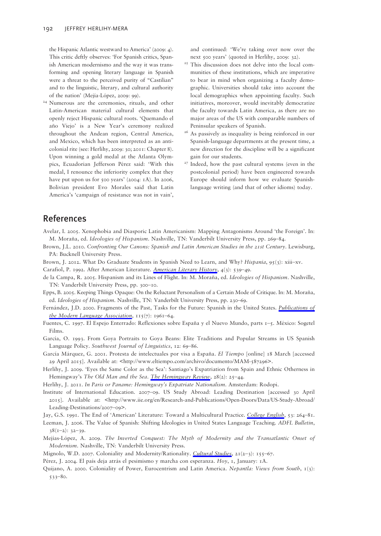the Hispanic Atlantic westward to America' (2009: 4). This critic deftly observes: 'For Spanish critics, Spanish American modernismo and the way it was transforming and opening literary language in Spanish were a threat to the perceived purity of "Castilian" and to the linguistic, literary, and cultural authority of the nation' (Mejía-López, 2009: 99).

<sup>24</sup> Numerous are the ceremonies, rituals, and other Latin-American material cultural elements that openly reject Hispanic cultural roots. 'Quemando el año Viejo' is a New Year's ceremony realized throughout the Andean region, Central America, and Mexico, which has been interpreted as an anticolonial rite (see: Herlihy, 2009: 30; 2011: Chapter 8). Upon winning a gold medal at the Atlanta Olympics, Ecuadorian Jefferson Pérez said: 'With this medal, I renounce the inferiority complex that they have put upon us for 500 years' (2004: 1A). In 2006, Bolivian president Evo Morales said that Latin America's 'campaign of resistance was not in vain', and continued: 'We're taking over now over the next 500 years' (quoted in Herlihy, 2009: 32).

- <sup>25</sup> This discussion does not delve into the local communities of these institutions, which are imperative to bear in mind when organizing a faculty demographic. Universities should take into account the local demographics when appointing faculty. Such initiatives, moreover, would inevitably democratize the faculty towards Latin America, as there are no major areas of the US with comparable numbers of Peninsular speakers of Spanish.
- <sup>26</sup> As passively as inequality is being reinforced in our Spanish-language departments at the present time, a new direction for the discipline will be a significant gain for our students.
- <sup>27</sup> Indeed, how the past cultural systems (even in the postcolonial period) have been engineered towards Europe should inform how we evaluate Spanishlanguage writing (and that of other idioms) today.

# References

- Avelar, I. 2005. Xenophobia and Diasporic Latin Americanism: Mapping Antagonisms Around 'the Foreign'. In: M. Moraña, ed. *Ideologies of Hispanism.* Nashville, TN: Vanderbilt University Press, pp. 269–84.
- Brown, J.L. 2010. *Confronting Our Canons: Spanish and Latin American Studies in the 21st Century.* Lewisburg, PA: Bucknell University Press.
- Brown, J. 2012. What Do Graduate Students in Spanish Need to Learn, and Why? *Hispania*, 95(3): xiii–xv.

Carafiol, P. 1992. After American Literature. *[American Literary History](http://www.maneyonline.com/action/showLinks?crossref=10.1093%2Falh%2F4.3.539)*, 4(3): 539–49.

- de la Campa, R. 2005. Hispanism and its Lines of Flight. In: M. Moraña, ed. *Ideologies of Hispanism.* Nashville, TN: Vanderbilt University Press, pp. 300–10.
- Epps, B. 2005. Keeping Things Opaque: On the Reluctant Personalism of a Certain Mode of Critique. In: M. Moraña, ed. *Ideologies of Hispanism.* Nashville, TN: Vanderbilt University Press, pp. 230–69.
- Fernández, J.D. 2000. Fragments of the Past, Tasks for the Future: Spanish in the United States. *[Publications of](http://www.maneyonline.com/action/showLinks?crossref=10.2307%2F463616&isi=000166098700099) [the Modern Language Association](http://www.maneyonline.com/action/showLinks?crossref=10.2307%2F463616&isi=000166098700099)*, 115(7): 1961–64.
- Fuentes, C. 1997. El Espejo Enterrado: Reflexiones sobre España y el Nuevo Mundo, parts 1–5. México: Sogetel Films.
- García, O. 1993. From Goya Portraits to Goya Beans: Elite Traditions and Popular Streams in US Spanish Language Policy. *Southwest Journal of Linguistics*, 12: 69–86.
- García Márquez, G. 2001. Protesta de intelectuales por visa a España. *El Tiempo* [online] 18 March [accessed 29 April 2015]. Available at: <http://www.eltiempo.com/archivo/documento/MAM-587296>.
- Herlihy, J. 2009. 'Eyes the Same Color as the Sea': Santiago's Expatriation from Spain and Ethnic Otherness in Hemingway's *The Old Man and the Sea. [The Hemingway Review](http://www.maneyonline.com/action/showLinks?crossref=10.1353%2Fhem.0.0030)*, 28(2): 25–44.
- Herlihy, J. 2011. *In Paris or Paname: Hemingway's Expatriate Nationalism.* Amsterdam: Rodopi.
- Institute of International Education. 2007–09. US Study Abroad: Leading Destination [accessed 30 April 2015]. Available at: <http://www.iie.org/en/Research-and-Publications/Open-Doors/Data/US-Study-Abroad/ Leading-Destinations/2007–09>.

Jay, G.S. 1991. The End of 'American' Literature: Toward a Multicultural Practice. *[College English](http://www.maneyonline.com/action/showLinks?crossref=10.2307%2F378101&isi=A1991EZ77200001)*, 53: 264–81.

- Leeman, J. 2006. The Value of Spanish: Shifting Ideologies in United States Language Teaching. *ADFL Bulletin*,  $38(1-2)$ : 32-39.
- Mejías-López, A. 2009. *The Inverted Conquest: The Myth of Modernity and the Transatlantic Onset of Modernism.* Nashville, TN: Vanderbilt University Press.
- Mignolo, W.D. 2007. Coloniality and Modernity/Rationality. *[Cultural Studies](http://www.maneyonline.com/action/showLinks?crossref=10.1080%2F09502380601162498&isi=000246303400001)*, 21(2–3): 155–67.
- Pérez, J. 2004. El país deja atrás el pesimismo y marcha con esperanza. *Hoy*, 1, January: 1A.
- Quijano, A. 2000. Coloniality of Power, Eurocentrism and Latin America. *Nepantla: Views from South*, 1(3): 533–80.